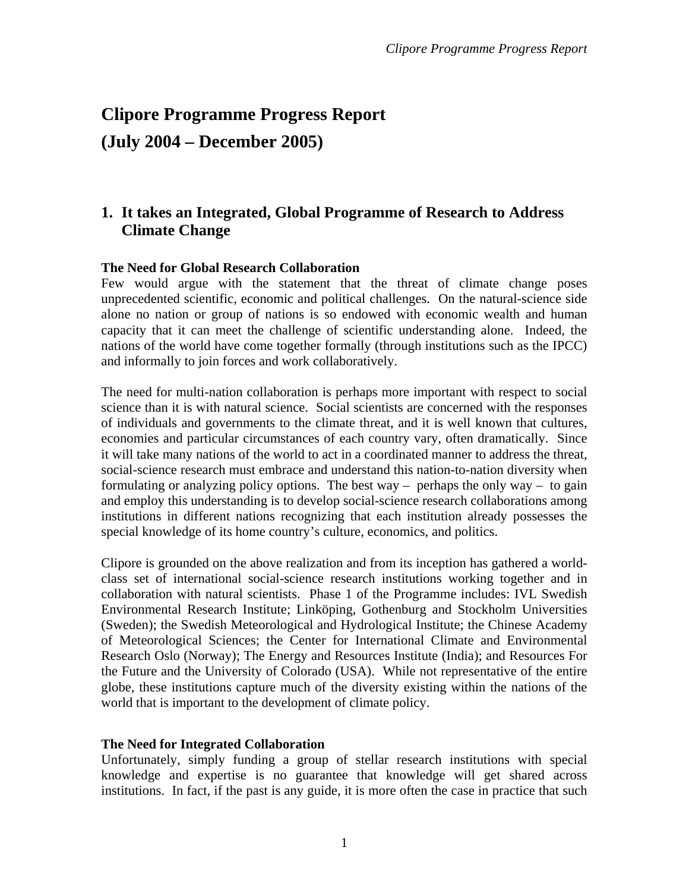# **Clipore Programme Progress Report (July 2004 – December 2005)**

# **1. It takes an Integrated, Global Programme of Research to Address Climate Change**

#### **The Need for Global Research Collaboration**

Few would argue with the statement that the threat of climate change poses unprecedented scientific, economic and political challenges. On the natural-science side alone no nation or group of nations is so endowed with economic wealth and human capacity that it can meet the challenge of scientific understanding alone. Indeed, the nations of the world have come together formally (through institutions such as the IPCC) and informally to join forces and work collaboratively.

The need for multi-nation collaboration is perhaps more important with respect to social science than it is with natural science. Social scientists are concerned with the responses of individuals and governments to the climate threat, and it is well known that cultures, economies and particular circumstances of each country vary, often dramatically. Since it will take many nations of the world to act in a coordinated manner to address the threat, social-science research must embrace and understand this nation-to-nation diversity when formulating or analyzing policy options. The best way – perhaps the only way – to gain and employ this understanding is to develop social-science research collaborations among institutions in different nations recognizing that each institution already possesses the special knowledge of its home country's culture, economics, and politics.

Clipore is grounded on the above realization and from its inception has gathered a worldclass set of international social-science research institutions working together and in collaboration with natural scientists. Phase 1 of the Programme includes: IVL Swedish Environmental Research Institute; Linköping, Gothenburg and Stockholm Universities (Sweden); the Swedish Meteorological and Hydrological Institute; the Chinese Academy of Meteorological Sciences; the Center for International Climate and Environmental Research Oslo (Norway); The Energy and Resources Institute (India); and Resources For the Future and the University of Colorado (USA). While not representative of the entire globe, these institutions capture much of the diversity existing within the nations of the world that is important to the development of climate policy.

#### **The Need for Integrated Collaboration**

Unfortunately, simply funding a group of stellar research institutions with special knowledge and expertise is no guarantee that knowledge will get shared across institutions. In fact, if the past is any guide, it is more often the case in practice that such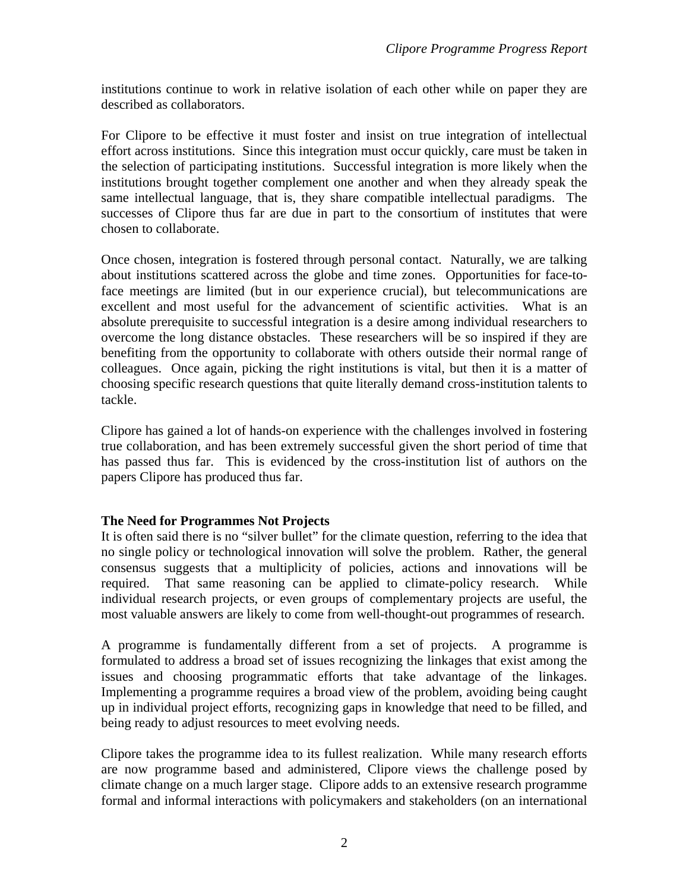institutions continue to work in relative isolation of each other while on paper they are described as collaborators.

For Clipore to be effective it must foster and insist on true integration of intellectual effort across institutions. Since this integration must occur quickly, care must be taken in the selection of participating institutions. Successful integration is more likely when the institutions brought together complement one another and when they already speak the same intellectual language, that is, they share compatible intellectual paradigms. The successes of Clipore thus far are due in part to the consortium of institutes that were chosen to collaborate.

Once chosen, integration is fostered through personal contact. Naturally, we are talking about institutions scattered across the globe and time zones. Opportunities for face-toface meetings are limited (but in our experience crucial), but telecommunications are excellent and most useful for the advancement of scientific activities. What is an absolute prerequisite to successful integration is a desire among individual researchers to overcome the long distance obstacles. These researchers will be so inspired if they are benefiting from the opportunity to collaborate with others outside their normal range of colleagues. Once again, picking the right institutions is vital, but then it is a matter of choosing specific research questions that quite literally demand cross-institution talents to tackle.

Clipore has gained a lot of hands-on experience with the challenges involved in fostering true collaboration, and has been extremely successful given the short period of time that has passed thus far. This is evidenced by the cross-institution list of authors on the papers Clipore has produced thus far.

### **The Need for Programmes Not Projects**

It is often said there is no "silver bullet" for the climate question, referring to the idea that no single policy or technological innovation will solve the problem. Rather, the general consensus suggests that a multiplicity of policies, actions and innovations will be required. That same reasoning can be applied to climate-policy research. While individual research projects, or even groups of complementary projects are useful, the most valuable answers are likely to come from well-thought-out programmes of research.

A programme is fundamentally different from a set of projects. A programme is formulated to address a broad set of issues recognizing the linkages that exist among the issues and choosing programmatic efforts that take advantage of the linkages. Implementing a programme requires a broad view of the problem, avoiding being caught up in individual project efforts, recognizing gaps in knowledge that need to be filled, and being ready to adjust resources to meet evolving needs.

Clipore takes the programme idea to its fullest realization. While many research efforts are now programme based and administered, Clipore views the challenge posed by climate change on a much larger stage. Clipore adds to an extensive research programme formal and informal interactions with policymakers and stakeholders (on an international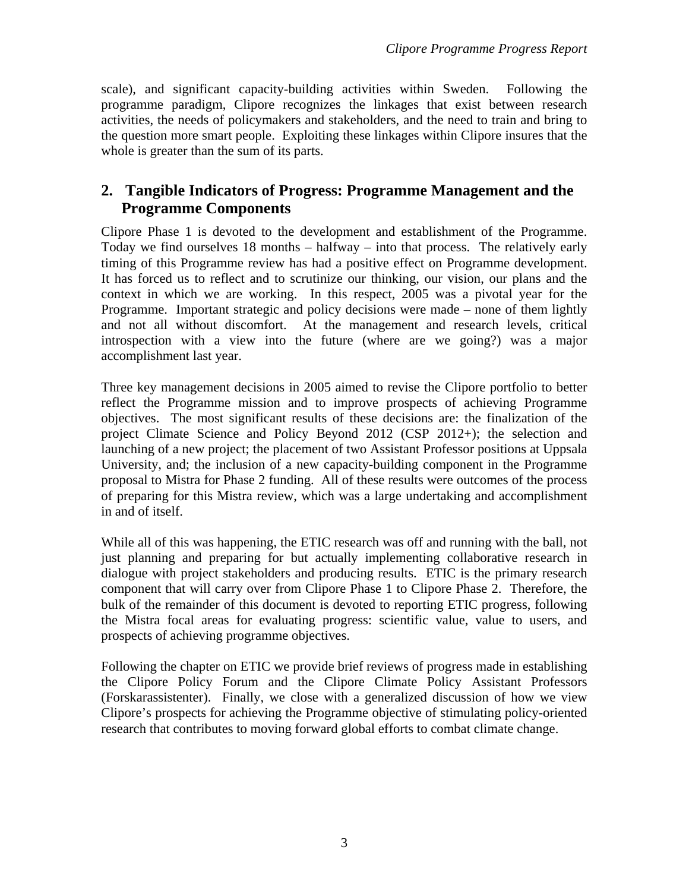scale), and significant capacity-building activities within Sweden. Following the programme paradigm, Clipore recognizes the linkages that exist between research activities, the needs of policymakers and stakeholders, and the need to train and bring to the question more smart people. Exploiting these linkages within Clipore insures that the whole is greater than the sum of its parts.

# **2. Tangible Indicators of Progress: Programme Management and the Programme Components**

Clipore Phase 1 is devoted to the development and establishment of the Programme. Today we find ourselves 18 months – halfway – into that process. The relatively early timing of this Programme review has had a positive effect on Programme development. It has forced us to reflect and to scrutinize our thinking, our vision, our plans and the context in which we are working. In this respect, 2005 was a pivotal year for the Programme. Important strategic and policy decisions were made – none of them lightly and not all without discomfort. At the management and research levels, critical introspection with a view into the future (where are we going?) was a major accomplishment last year.

Three key management decisions in 2005 aimed to revise the Clipore portfolio to better reflect the Programme mission and to improve prospects of achieving Programme objectives. The most significant results of these decisions are: the finalization of the project Climate Science and Policy Beyond 2012 (CSP 2012+); the selection and launching of a new project; the placement of two Assistant Professor positions at Uppsala University, and; the inclusion of a new capacity-building component in the Programme proposal to Mistra for Phase 2 funding. All of these results were outcomes of the process of preparing for this Mistra review, which was a large undertaking and accomplishment in and of itself.

While all of this was happening, the ETIC research was off and running with the ball, not just planning and preparing for but actually implementing collaborative research in dialogue with project stakeholders and producing results. ETIC is the primary research component that will carry over from Clipore Phase 1 to Clipore Phase 2. Therefore, the bulk of the remainder of this document is devoted to reporting ETIC progress, following the Mistra focal areas for evaluating progress: scientific value, value to users, and prospects of achieving programme objectives.

Following the chapter on ETIC we provide brief reviews of progress made in establishing the Clipore Policy Forum and the Clipore Climate Policy Assistant Professors (Forskarassistenter). Finally, we close with a generalized discussion of how we view Clipore's prospects for achieving the Programme objective of stimulating policy-oriented research that contributes to moving forward global efforts to combat climate change.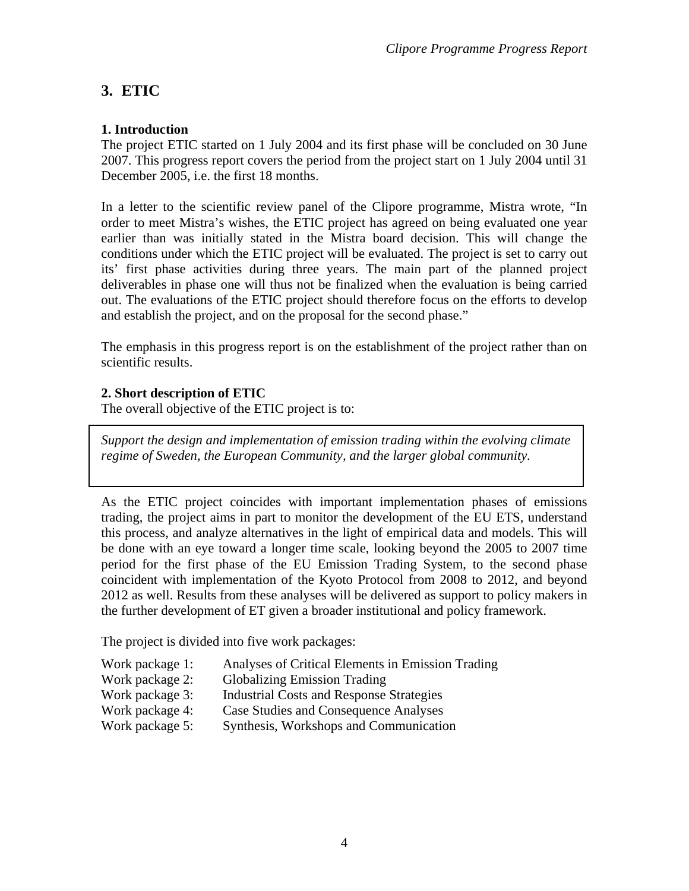# **3. ETIC**

# **1. Introduction**

The project ETIC started on 1 July 2004 and its first phase will be concluded on 30 June 2007. This progress report covers the period from the project start on 1 July 2004 until 31 December 2005, i.e. the first 18 months.

In a letter to the scientific review panel of the Clipore programme, Mistra wrote, "In order to meet Mistra's wishes, the ETIC project has agreed on being evaluated one year earlier than was initially stated in the Mistra board decision. This will change the conditions under which the ETIC project will be evaluated. The project is set to carry out its' first phase activities during three years. The main part of the planned project deliverables in phase one will thus not be finalized when the evaluation is being carried out. The evaluations of the ETIC project should therefore focus on the efforts to develop and establish the project, and on the proposal for the second phase."

The emphasis in this progress report is on the establishment of the project rather than on scientific results.

# **2. Short description of ETIC**

The overall objective of the ETIC project is to:

*Support the design and implementation of emission trading within the evolving climate regime of Sweden, the European Community, and the larger global community.* 

As the ETIC project coincides with important implementation phases of emissions trading, the project aims in part to monitor the development of the EU ETS, understand this process, and analyze alternatives in the light of empirical data and models. This will be done with an eye toward a longer time scale, looking beyond the 2005 to 2007 time period for the first phase of the EU Emission Trading System, to the second phase coincident with implementation of the Kyoto Protocol from 2008 to 2012, and beyond 2012 as well. Results from these analyses will be delivered as support to policy makers in the further development of ET given a broader institutional and policy framework.

The project is divided into five work packages:

- Work package 1: Analyses of Critical Elements in Emission Trading
- Work package 2: Globalizing Emission Trading
- Work package 3: Industrial Costs and Response Strategies
- Work package 4: Case Studies and Consequence Analyses
- Work package 5: Synthesis, Workshops and Communication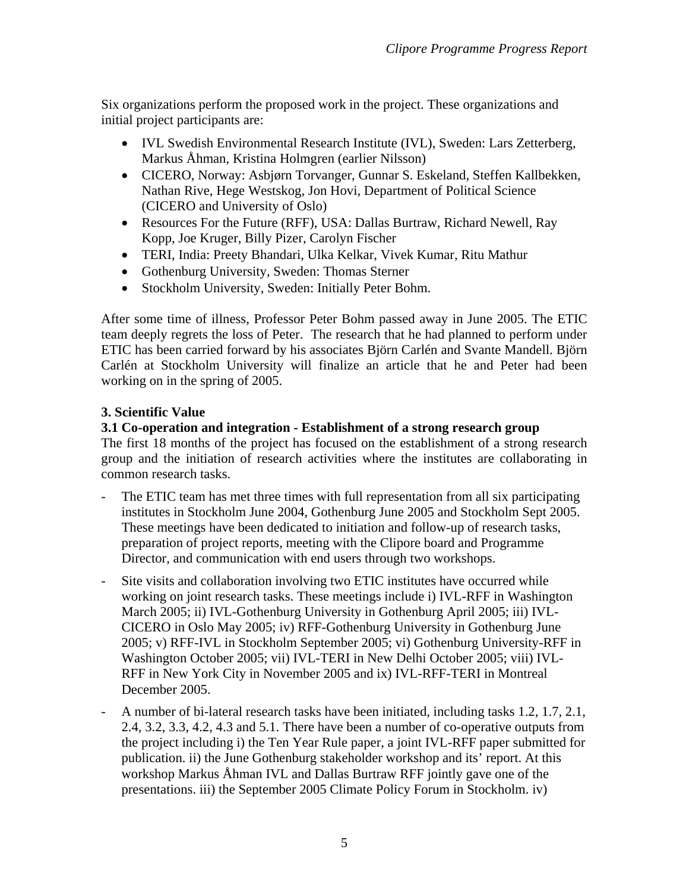Six organizations perform the proposed work in the project. These organizations and initial project participants are:

- IVL Swedish Environmental Research Institute (IVL), Sweden: Lars Zetterberg, Markus Åhman, Kristina Holmgren (earlier Nilsson)
- CICERO, Norway: Asbjørn Torvanger, Gunnar S. Eskeland, Steffen Kallbekken, Nathan Rive, Hege Westskog, Jon Hovi, Department of Political Science (CICERO and University of Oslo)
- Resources For the Future (RFF), USA: Dallas Burtraw, Richard Newell, Ray Kopp, Joe Kruger, Billy Pizer, Carolyn Fischer
- TERI, India: Preety Bhandari, Ulka Kelkar, Vivek Kumar, Ritu Mathur
- Gothenburg University, Sweden: Thomas Sterner
- Stockholm University, Sweden: Initially Peter Bohm.

After some time of illness, Professor Peter Bohm passed away in June 2005. The ETIC team deeply regrets the loss of Peter. The research that he had planned to perform under ETIC has been carried forward by his associates Björn Carlén and Svante Mandell. Björn Carlén at Stockholm University will finalize an article that he and Peter had been working on in the spring of 2005.

### **3. Scientific Value**

### **3.1 Co-operation and integration - Establishment of a strong research group**

The first 18 months of the project has focused on the establishment of a strong research group and the initiation of research activities where the institutes are collaborating in common research tasks.

- The ETIC team has met three times with full representation from all six participating institutes in Stockholm June 2004, Gothenburg June 2005 and Stockholm Sept 2005. These meetings have been dedicated to initiation and follow-up of research tasks, preparation of project reports, meeting with the Clipore board and Programme Director, and communication with end users through two workshops.
- Site visits and collaboration involving two ETIC institutes have occurred while working on joint research tasks. These meetings include i) IVL-RFF in Washington March 2005; ii) IVL-Gothenburg University in Gothenburg April 2005; iii) IVL-CICERO in Oslo May 2005; iv) RFF-Gothenburg University in Gothenburg June 2005; v) RFF-IVL in Stockholm September 2005; vi) Gothenburg University-RFF in Washington October 2005; vii) IVL-TERI in New Delhi October 2005; viii) IVL-RFF in New York City in November 2005 and ix) IVL-RFF-TERI in Montreal December 2005.
- A number of bi-lateral research tasks have been initiated, including tasks 1.2, 1.7, 2.1, 2.4, 3.2, 3.3, 4.2, 4.3 and 5.1. There have been a number of co-operative outputs from the project including i) the Ten Year Rule paper, a joint IVL-RFF paper submitted for publication. ii) the June Gothenburg stakeholder workshop and its' report. At this workshop Markus Åhman IVL and Dallas Burtraw RFF jointly gave one of the presentations. iii) the September 2005 Climate Policy Forum in Stockholm. iv)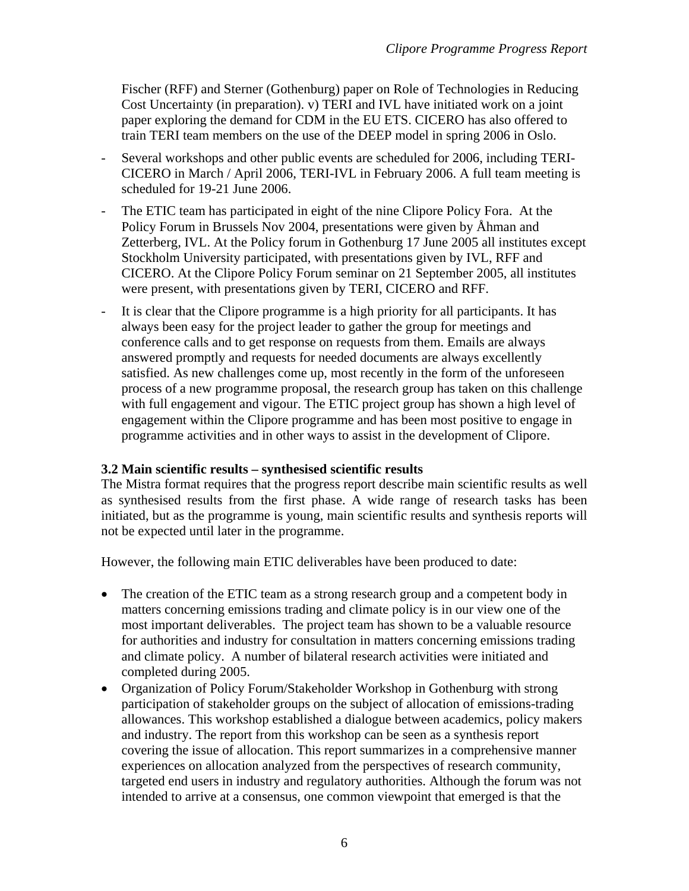Fischer (RFF) and Sterner (Gothenburg) paper on Role of Technologies in Reducing Cost Uncertainty (in preparation). v) TERI and IVL have initiated work on a joint paper exploring the demand for CDM in the EU ETS. CICERO has also offered to train TERI team members on the use of the DEEP model in spring 2006 in Oslo.

- Several workshops and other public events are scheduled for 2006, including TERI-CICERO in March / April 2006, TERI-IVL in February 2006. A full team meeting is scheduled for 19-21 June 2006.
- The ETIC team has participated in eight of the nine Clipore Policy Fora. At the Policy Forum in Brussels Nov 2004, presentations were given by Åhman and Zetterberg, IVL. At the Policy forum in Gothenburg 17 June 2005 all institutes except Stockholm University participated, with presentations given by IVL, RFF and CICERO. At the Clipore Policy Forum seminar on 21 September 2005, all institutes were present, with presentations given by TERI, CICERO and RFF.
- It is clear that the Clipore programme is a high priority for all participants. It has always been easy for the project leader to gather the group for meetings and conference calls and to get response on requests from them. Emails are always answered promptly and requests for needed documents are always excellently satisfied. As new challenges come up, most recently in the form of the unforeseen process of a new programme proposal, the research group has taken on this challenge with full engagement and vigour. The ETIC project group has shown a high level of engagement within the Clipore programme and has been most positive to engage in programme activities and in other ways to assist in the development of Clipore.

#### **3.2 Main scientific results – synthesised scientific results**

The Mistra format requires that the progress report describe main scientific results as well as synthesised results from the first phase. A wide range of research tasks has been initiated, but as the programme is young, main scientific results and synthesis reports will not be expected until later in the programme.

However, the following main ETIC deliverables have been produced to date:

- The creation of the ETIC team as a strong research group and a competent body in matters concerning emissions trading and climate policy is in our view one of the most important deliverables. The project team has shown to be a valuable resource for authorities and industry for consultation in matters concerning emissions trading and climate policy. A number of bilateral research activities were initiated and completed during 2005.
- Organization of Policy Forum/Stakeholder Workshop in Gothenburg with strong participation of stakeholder groups on the subject of allocation of emissions-trading allowances. This workshop established a dialogue between academics, policy makers and industry. The report from this workshop can be seen as a synthesis report covering the issue of allocation. This report summarizes in a comprehensive manner experiences on allocation analyzed from the perspectives of research community, targeted end users in industry and regulatory authorities. Although the forum was not intended to arrive at a consensus, one common viewpoint that emerged is that the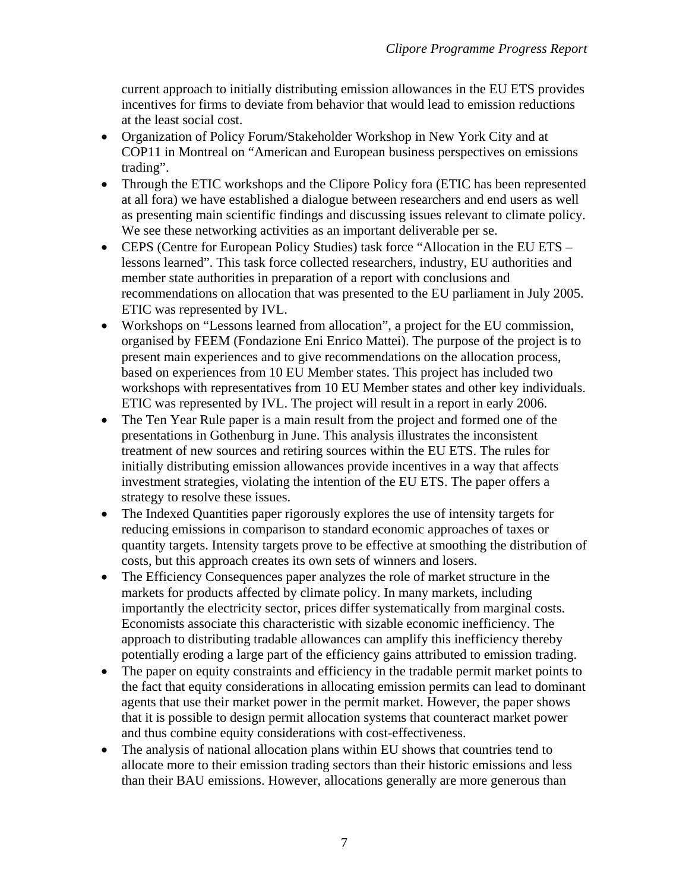current approach to initially distributing emission allowances in the EU ETS provides incentives for firms to deviate from behavior that would lead to emission reductions at the least social cost.

- Organization of Policy Forum/Stakeholder Workshop in New York City and at COP11 in Montreal on "American and European business perspectives on emissions trading".
- Through the ETIC workshops and the Clipore Policy fora (ETIC has been represented at all fora) we have established a dialogue between researchers and end users as well as presenting main scientific findings and discussing issues relevant to climate policy. We see these networking activities as an important deliverable per se.
- CEPS (Centre for European Policy Studies) task force "Allocation in the EU ETS lessons learned". This task force collected researchers, industry, EU authorities and member state authorities in preparation of a report with conclusions and recommendations on allocation that was presented to the EU parliament in July 2005. ETIC was represented by IVL.
- Workshops on "Lessons learned from allocation", a project for the EU commission, organised by FEEM (Fondazione Eni Enrico Mattei). The purpose of the project is to present main experiences and to give recommendations on the allocation process, based on experiences from 10 EU Member states. This project has included two workshops with representatives from 10 EU Member states and other key individuals. ETIC was represented by IVL. The project will result in a report in early 2006.
- The Ten Year Rule paper is a main result from the project and formed one of the presentations in Gothenburg in June. This analysis illustrates the inconsistent treatment of new sources and retiring sources within the EU ETS. The rules for initially distributing emission allowances provide incentives in a way that affects investment strategies, violating the intention of the EU ETS. The paper offers a strategy to resolve these issues.
- The Indexed Quantities paper rigorously explores the use of intensity targets for reducing emissions in comparison to standard economic approaches of taxes or quantity targets. Intensity targets prove to be effective at smoothing the distribution of costs, but this approach creates its own sets of winners and losers.
- The Efficiency Consequences paper analyzes the role of market structure in the markets for products affected by climate policy. In many markets, including importantly the electricity sector, prices differ systematically from marginal costs. Economists associate this characteristic with sizable economic inefficiency. The approach to distributing tradable allowances can amplify this inefficiency thereby potentially eroding a large part of the efficiency gains attributed to emission trading.
- The paper on equity constraints and efficiency in the tradable permit market points to the fact that equity considerations in allocating emission permits can lead to dominant agents that use their market power in the permit market. However, the paper shows that it is possible to design permit allocation systems that counteract market power and thus combine equity considerations with cost-effectiveness.
- The analysis of national allocation plans within EU shows that countries tend to allocate more to their emission trading sectors than their historic emissions and less than their BAU emissions. However, allocations generally are more generous than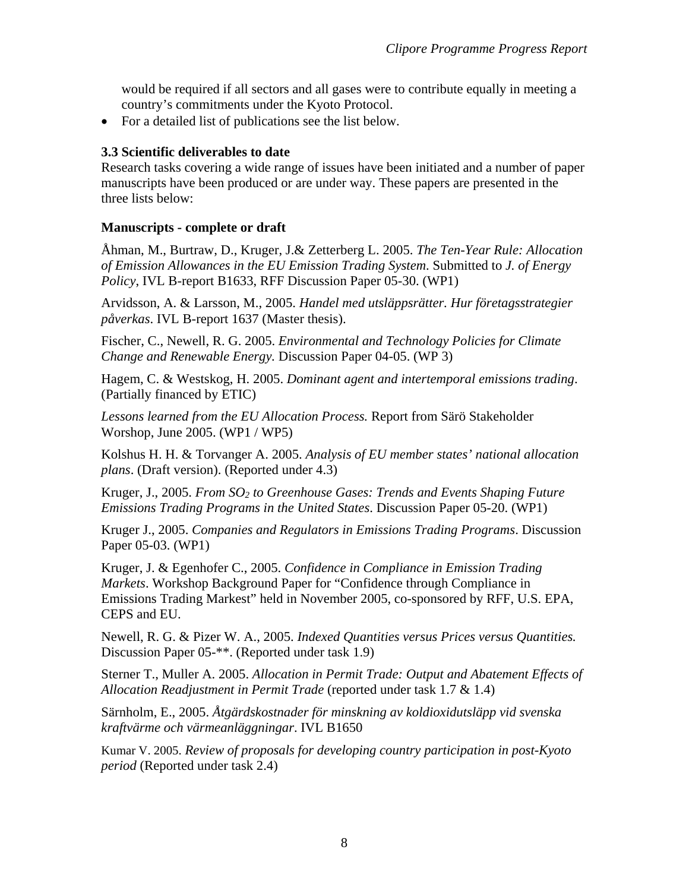would be required if all sectors and all gases were to contribute equally in meeting a country's commitments under the Kyoto Protocol.

• For a detailed list of publications see the list below.

#### **3.3 Scientific deliverables to date**

Research tasks covering a wide range of issues have been initiated and a number of paper manuscripts have been produced or are under way. These papers are presented in the three lists below:

#### **Manuscripts - complete or draft**

Åhman, M., Burtraw, D., Kruger, J.& Zetterberg L. 2005. *The Ten-Year Rule: Allocation of Emission Allowances in the EU Emission Trading System*. Submitted to *J. of Energy Policy*, IVL B-report B1633, RFF Discussion Paper 05-30. (WP1)

Arvidsson, A. & Larsson, M., 2005. *Handel med utsläppsrätter. Hur företagsstrategier påverkas*. IVL B-report 1637 (Master thesis).

Fischer, C., Newell, R. G. 2005. *Environmental and Technology Policies for Climate Change and Renewable Energy.* Discussion Paper 04-05. (WP 3)

Hagem, C. & Westskog, H. 2005. *Dominant agent and intertemporal emissions trading*. (Partially financed by ETIC)

*Lessons learned from the EU Allocation Process.* Report from Särö Stakeholder Worshop, June 2005. (WP1 / WP5)

Kolshus H. H. & Torvanger A. 2005. *Analysis of EU member states' national allocation plans*. (Draft version). (Reported under 4.3)

Kruger, J., 2005. *From SO2 to Greenhouse Gases: Trends and Events Shaping Future Emissions Trading Programs in the United States*. Discussion Paper 05-20. (WP1)

Kruger J., 2005. *Companies and Regulators in Emissions Trading Programs*. Discussion Paper 05-03. (WP1)

Kruger, J. & Egenhofer C., 2005. *Confidence in Compliance in Emission Trading Markets*. Workshop Background Paper for "Confidence through Compliance in Emissions Trading Markest" held in November 2005, co-sponsored by RFF, U.S. EPA, CEPS and EU.

Newell, R. G. & Pizer W. A., 2005. *Indexed Quantities versus Prices versus Quantities.*  Discussion Paper 05-\*\*. (Reported under task 1.9)

Sterner T., Muller A. 2005. *Allocation in Permit Trade: Output and Abatement Effects of Allocation Readjustment in Permit Trade* (reported under task 1.7 & 1.4)

Särnholm, E., 2005. *Åtgärdskostnader för minskning av koldioxidutsläpp vid svenska kraftvärme och värmeanläggningar*. IVL B1650

Kumar V. 2005. *Review of proposals for developing country participation in post-Kyoto period* (Reported under task 2.4)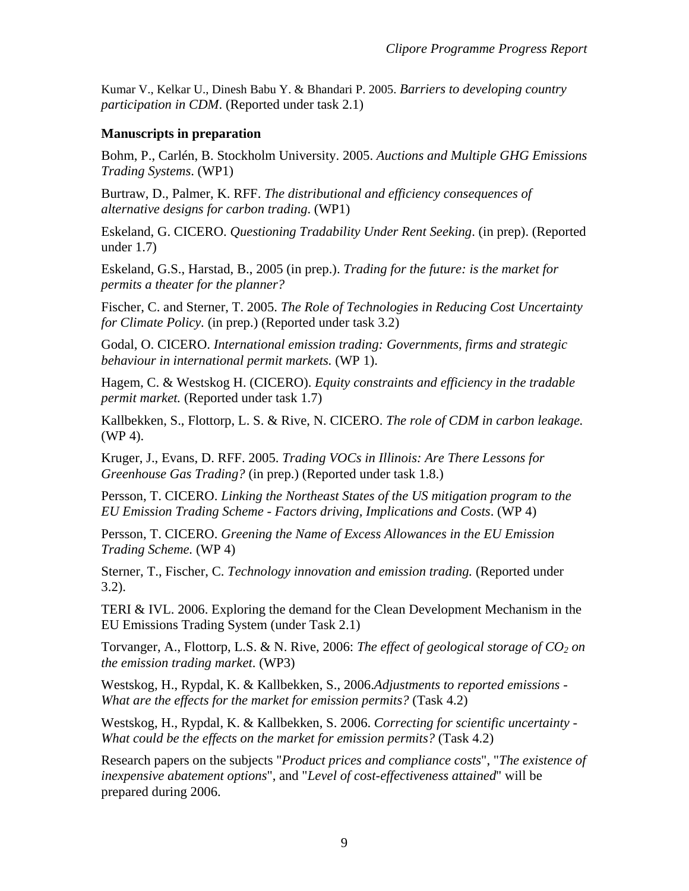Kumar V., Kelkar U., Dinesh Babu Y. & Bhandari P. 2005. *Barriers to developing country participation in CDM*. (Reported under task 2.1)

#### **Manuscripts in preparation**

Bohm, P., Carlén, B. Stockholm University. 2005. *Auctions and Multiple GHG Emissions Trading Systems*. (WP1)

Burtraw, D., Palmer, K. RFF. *The distributional and efficiency consequences of alternative designs for carbon trading*. (WP1)

Eskeland, G. CICERO. *Questioning Tradability Under Rent Seeking*. (in prep). (Reported under 1.7)

Eskeland, G.S., Harstad, B., 2005 (in prep.). *Trading for the future: is the market for permits a theater for the planner?*

Fischer, C. and Sterner, T. 2005. *The Role of Technologies in Reducing Cost Uncertainty for Climate Policy.* (in prep.) (Reported under task 3.2)

Godal, O. CICERO. *International emission trading: Governments, firms and strategic behaviour in international permit markets.* (WP 1).

Hagem, C. & Westskog H. (CICERO). *Equity constraints and efficiency in the tradable permit market.* (Reported under task 1.7)

Kallbekken, S., Flottorp, L. S. & Rive, N. CICERO. *The role of CDM in carbon leakage.* (WP 4).

Kruger, J., Evans, D. RFF. 2005. *Trading VOCs in Illinois: Are There Lessons for Greenhouse Gas Trading?* (in prep.) (Reported under task 1.8.)

Persson, T. CICERO. *Linking the Northeast States of the US mitigation program to the EU Emission Trading Scheme - Factors driving, Implications and Costs*. (WP 4)

Persson, T. CICERO. *Greening the Name of Excess Allowances in the EU Emission Trading Scheme.* (WP 4)

Sterner, T., Fischer, C. *Technology innovation and emission trading.* (Reported under 3.2).

TERI & IVL. 2006. Exploring the demand for the Clean Development Mechanism in the EU Emissions Trading System (under Task 2.1)

Torvanger, A., Flottorp, L.S. & N. Rive, 2006: *The effect of geological storage of CO<sub>2</sub> on the emission trading market*. (WP3)

Westskog, H., Rypdal, K. & Kallbekken, S., 2006.*Adjustments to reported emissions - What are the effects for the market for emission permits?* (Task 4.2)

Westskog, H., Rypdal, K. & Kallbekken, S. 2006. *Correcting for scientific uncertainty - What could be the effects on the market for emission permits?* (Task 4.2)

Research papers on the subjects "*Product prices and compliance costs*", "*The existence of inexpensive abatement options*", and "*Level of cost-effectiveness attained*" will be prepared during 2006.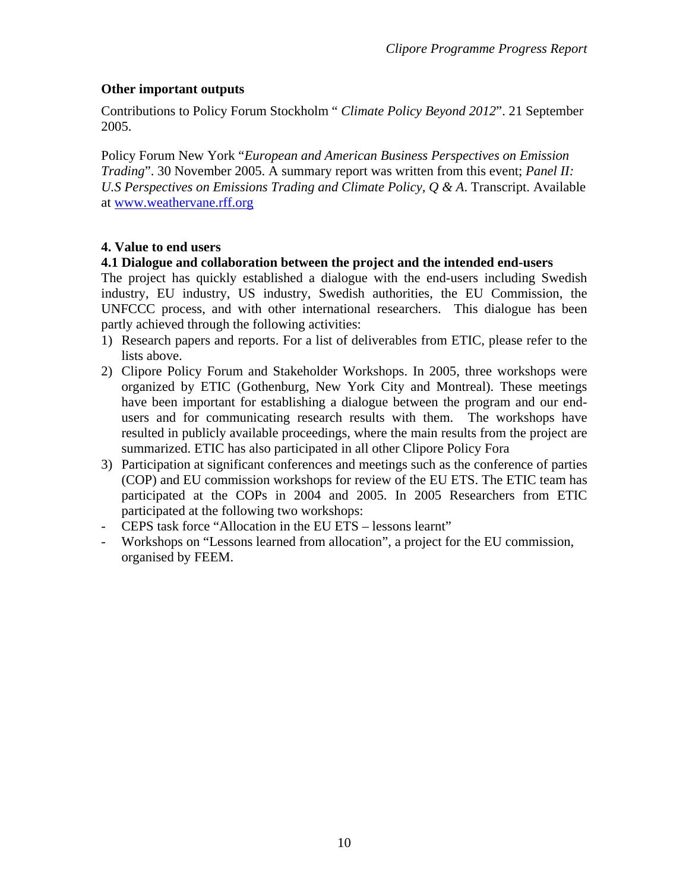# **Other important outputs**

Contributions to Policy Forum Stockholm " *Climate Policy Beyond 2012*". 21 September 2005.

Policy Forum New York "*European and American Business Perspectives on Emission Trading*". 30 November 2005. A summary report was written from this event; *Panel II: U.S Perspectives on Emissions Trading and Climate Policy, Q & A*. Transcript. Available at [www.weathervane.rff.org](http://www.weathervane.rff.org/)

# **4. Value to end users**

# **4.1 Dialogue and collaboration between the project and the intended end-users**

The project has quickly established a dialogue with the end-users including Swedish industry, EU industry, US industry, Swedish authorities, the EU Commission, the UNFCCC process, and with other international researchers. This dialogue has been partly achieved through the following activities:

- 1) Research papers and reports. For a list of deliverables from ETIC, please refer to the lists above.
- 2) Clipore Policy Forum and Stakeholder Workshops. In 2005, three workshops were organized by ETIC (Gothenburg, New York City and Montreal). These meetings have been important for establishing a dialogue between the program and our endusers and for communicating research results with them. The workshops have resulted in publicly available proceedings, where the main results from the project are summarized. ETIC has also participated in all other Clipore Policy Fora
- 3) Participation at significant conferences and meetings such as the conference of parties (COP) and EU commission workshops for review of the EU ETS. The ETIC team has participated at the COPs in 2004 and 2005. In 2005 Researchers from ETIC participated at the following two workshops:
- CEPS task force "Allocation in the EU ETS lessons learnt"
- Workshops on "Lessons learned from allocation", a project for the EU commission, organised by FEEM.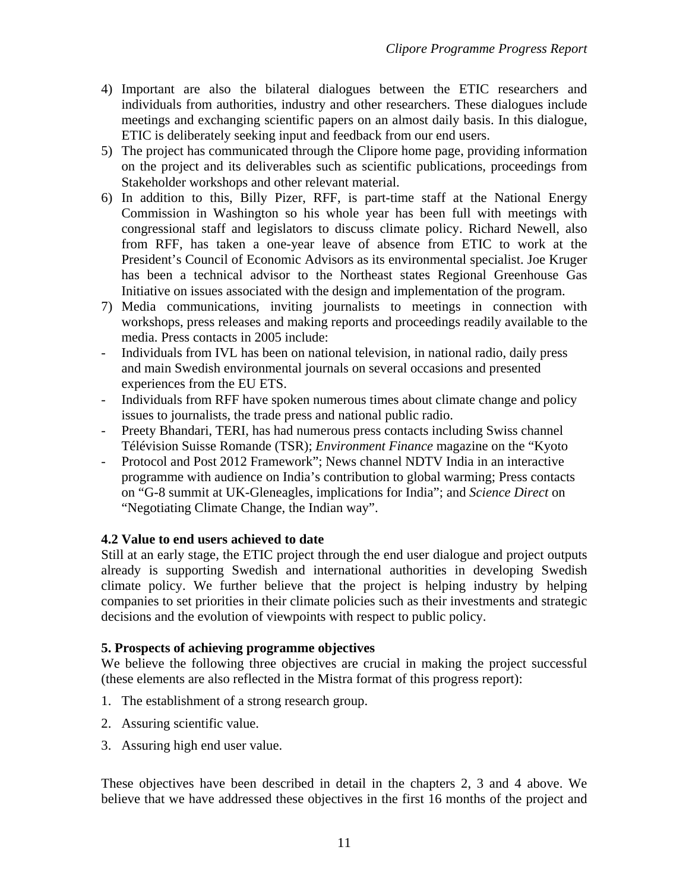- 4) Important are also the bilateral dialogues between the ETIC researchers and individuals from authorities, industry and other researchers. These dialogues include meetings and exchanging scientific papers on an almost daily basis. In this dialogue, ETIC is deliberately seeking input and feedback from our end users.
- 5) The project has communicated through the Clipore home page, providing information on the project and its deliverables such as scientific publications, proceedings from Stakeholder workshops and other relevant material.
- 6) In addition to this, Billy Pizer, RFF, is part-time staff at the National Energy Commission in Washington so his whole year has been full with meetings with congressional staff and legislators to discuss climate policy. Richard Newell, also from RFF, has taken a one-year leave of absence from ETIC to work at the President's Council of Economic Advisors as its environmental specialist. Joe Kruger has been a technical advisor to the Northeast states Regional Greenhouse Gas Initiative on issues associated with the design and implementation of the program.
- 7) Media communications, inviting journalists to meetings in connection with workshops, press releases and making reports and proceedings readily available to the media. Press contacts in 2005 include:
- Individuals from IVL has been on national television, in national radio, daily press and main Swedish environmental journals on several occasions and presented experiences from the EU ETS.
- Individuals from RFF have spoken numerous times about climate change and policy issues to journalists, the trade press and national public radio.
- Preety Bhandari, TERI, has had numerous press contacts including Swiss channel Télévision Suisse Romande (TSR); *Environment Finance* magazine on the "Kyoto
- Protocol and Post 2012 Framework"; News channel NDTV India in an interactive programme with audience on India's contribution to global warming; Press contacts on "G-8 summit at UK-Gleneagles, implications for India"; and *Science Direct* on "Negotiating Climate Change, the Indian way".

# **4.2 Value to end users achieved to date**

Still at an early stage, the ETIC project through the end user dialogue and project outputs already is supporting Swedish and international authorities in developing Swedish climate policy. We further believe that the project is helping industry by helping companies to set priorities in their climate policies such as their investments and strategic decisions and the evolution of viewpoints with respect to public policy.

### **5. Prospects of achieving programme objectives**

We believe the following three objectives are crucial in making the project successful (these elements are also reflected in the Mistra format of this progress report):

- 1. The establishment of a strong research group.
- 2. Assuring scientific value.
- 3. Assuring high end user value.

These objectives have been described in detail in the chapters 2, 3 and 4 above. We believe that we have addressed these objectives in the first 16 months of the project and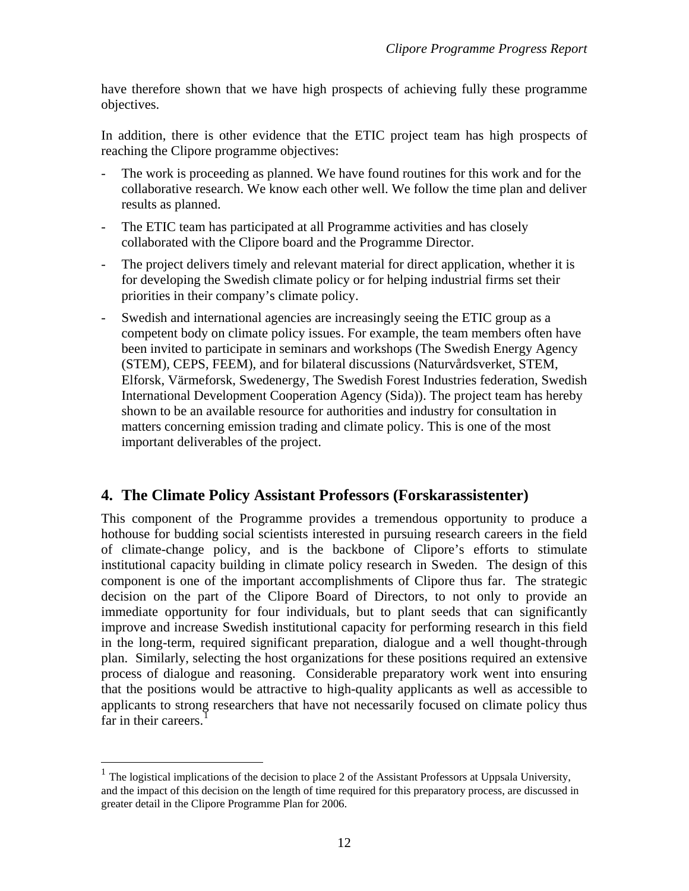have therefore shown that we have high prospects of achieving fully these programme objectives.

In addition, there is other evidence that the ETIC project team has high prospects of reaching the Clipore programme objectives:

- The work is proceeding as planned. We have found routines for this work and for the collaborative research. We know each other well. We follow the time plan and deliver results as planned.
- The ETIC team has participated at all Programme activities and has closely collaborated with the Clipore board and the Programme Director.
- The project delivers timely and relevant material for direct application, whether it is for developing the Swedish climate policy or for helping industrial firms set their priorities in their company's climate policy.
- Swedish and international agencies are increasingly seeing the ETIC group as a competent body on climate policy issues. For example, the team members often have been invited to participate in seminars and workshops (The Swedish Energy Agency (STEM), CEPS, FEEM), and for bilateral discussions (Naturvårdsverket, STEM, Elforsk, Värmeforsk, Swedenergy, The Swedish Forest Industries federation, Swedish International Development Cooperation Agency (Sida)). The project team has hereby shown to be an available resource for authorities and industry for consultation in matters concerning emission trading and climate policy. This is one of the most important deliverables of the project.

# **4. The Climate Policy Assistant Professors (Forskarassistenter)**

This component of the Programme provides a tremendous opportunity to produce a hothouse for budding social scientists interested in pursuing research careers in the field of climate-change policy, and is the backbone of Clipore's efforts to stimulate institutional capacity building in climate policy research in Sweden. The design of this component is one of the important accomplishments of Clipore thus far. The strategic decision on the part of the Clipore Board of Directors, to not only to provide an immediate opportunity for four individuals, but to plant seeds that can significantly improve and increase Swedish institutional capacity for performing research in this field in the long-term, required significant preparation, dialogue and a well thought-through plan. Similarly, selecting the host organizations for these positions required an extensive process of dialogue and reasoning. Considerable preparatory work went into ensuring that the positions would be attractive to high-quality applicants as well as accessible to applicants to strong researchers that have not necessarily focused on climate policy thus far in their careers.<sup>[1](#page-11-0)</sup>

 $\overline{a}$ 

<span id="page-11-0"></span><sup>1</sup> The logistical implications of the decision to place 2 of the Assistant Professors at Uppsala University, and the impact of this decision on the length of time required for this preparatory process, are discussed in greater detail in the Clipore Programme Plan for 2006.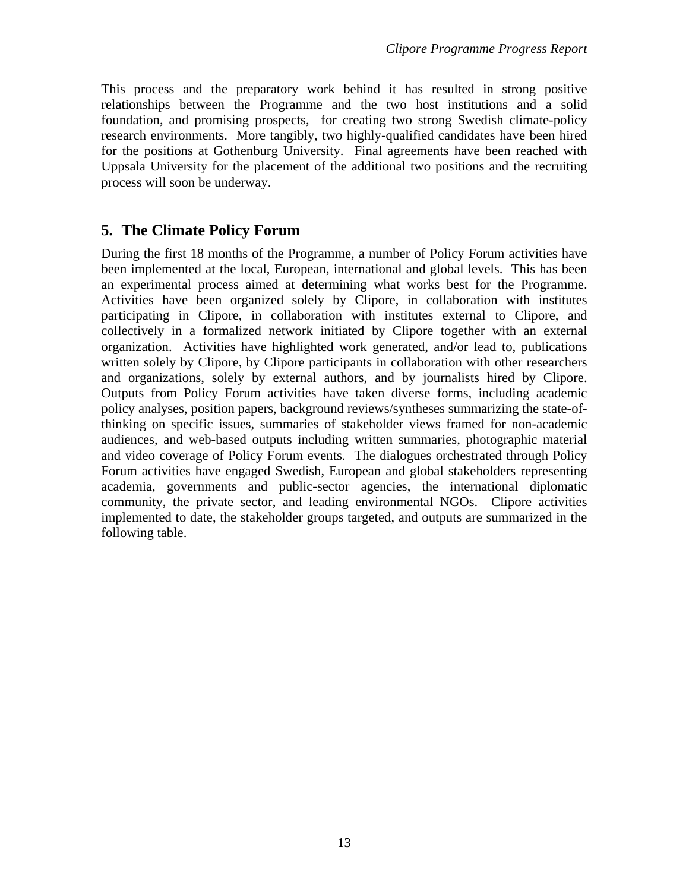This process and the preparatory work behind it has resulted in strong positive relationships between the Programme and the two host institutions and a solid foundation, and promising prospects, for creating two strong Swedish climate-policy research environments. More tangibly, two highly-qualified candidates have been hired for the positions at Gothenburg University. Final agreements have been reached with Uppsala University for the placement of the additional two positions and the recruiting process will soon be underway.

# **5. The Climate Policy Forum**

During the first 18 months of the Programme, a number of Policy Forum activities have been implemented at the local, European, international and global levels. This has been an experimental process aimed at determining what works best for the Programme. Activities have been organized solely by Clipore, in collaboration with institutes participating in Clipore, in collaboration with institutes external to Clipore, and collectively in a formalized network initiated by Clipore together with an external organization. Activities have highlighted work generated, and/or lead to, publications written solely by Clipore, by Clipore participants in collaboration with other researchers and organizations, solely by external authors, and by journalists hired by Clipore. Outputs from Policy Forum activities have taken diverse forms, including academic policy analyses, position papers, background reviews/syntheses summarizing the state-ofthinking on specific issues, summaries of stakeholder views framed for non-academic audiences, and web-based outputs including written summaries, photographic material and video coverage of Policy Forum events. The dialogues orchestrated through Policy Forum activities have engaged Swedish, European and global stakeholders representing academia, governments and public-sector agencies, the international diplomatic community, the private sector, and leading environmental NGOs. Clipore activities implemented to date, the stakeholder groups targeted, and outputs are summarized in the following table.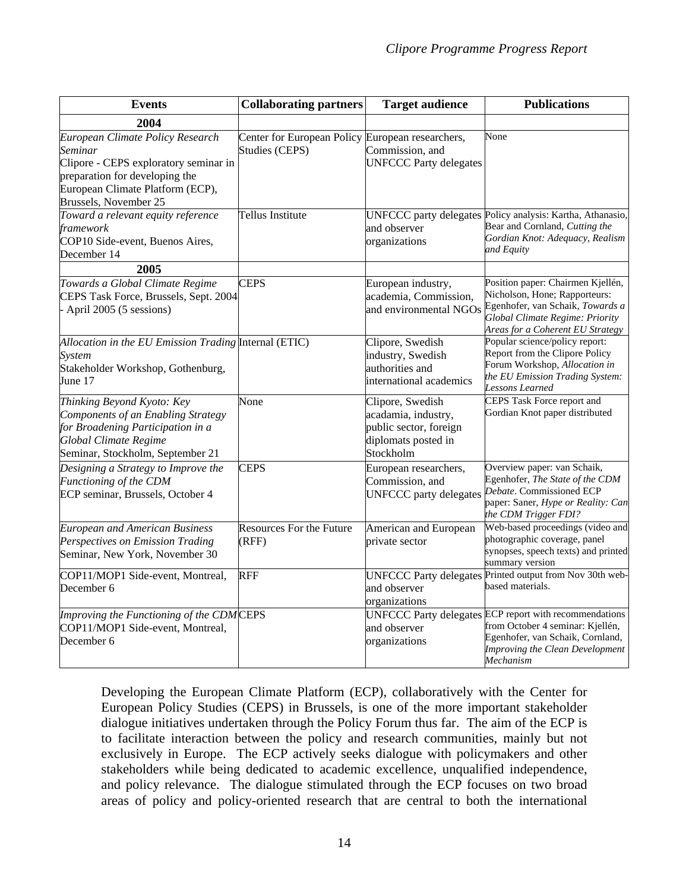| <b>Events</b>                                                                                                                                                                       | <b>Collaborating partners</b>                | <b>Target audience</b>                                                                                | <b>Publications</b>                                                                                                                                                                   |
|-------------------------------------------------------------------------------------------------------------------------------------------------------------------------------------|----------------------------------------------|-------------------------------------------------------------------------------------------------------|---------------------------------------------------------------------------------------------------------------------------------------------------------------------------------------|
| 2004                                                                                                                                                                                |                                              |                                                                                                       |                                                                                                                                                                                       |
| European Climate Policy Research<br>Seminar<br>Clipore - CEPS exploratory seminar in<br>preparation for developing the<br>European Climate Platform (ECP),<br>Brussels, November 25 | Center for European Policy<br>Studies (CEPS) | European researchers,<br>Commission, and<br><b>UNFCCC Party delegates</b>                             | None                                                                                                                                                                                  |
| Toward a relevant equity reference<br>framework<br>COP10 Side-event, Buenos Aires,<br>December 14                                                                                   | Tellus Institute                             | and observer<br>organizations                                                                         | UNFCCC party delegates Policy analysis: Kartha, Athanasio,<br>Bear and Cornland, Cutting the<br>Gordian Knot: Adequacy, Realism<br>and Equity                                         |
| 2005                                                                                                                                                                                |                                              |                                                                                                       |                                                                                                                                                                                       |
| Towards a Global Climate Regime<br>CEPS Task Force, Brussels, Sept. 2004<br>- April 2005 (5 sessions)                                                                               | <b>CEPS</b>                                  | European industry,<br>academia, Commission,<br>and environmental NGOs                                 | Position paper: Chairmen Kjellén,<br>Nicholson, Hone; Rapporteurs:<br>Egenhofer, van Schaik, Towards a<br><b>Global Climate Regime: Priority</b><br>Areas for a Coherent EU Strategy  |
| Allocation in the EU Emission Trading Internal (ETIC)<br><b>System</b><br>Stakeholder Workshop, Gothenburg,<br>June 17                                                              |                                              | Clipore, Swedish<br>industry, Swedish<br>authorities and<br>international academics                   | Popular science/policy report:<br>Report from the Clipore Policy<br>Forum Workshop, Allocation in<br>the EU Emission Trading System:<br>Lessons Learned                               |
| Thinking Beyond Kyoto: Key<br>Components of an Enabling Strategy<br>for Broadening Participation in a<br><b>Global Climate Regime</b><br>Seminar, Stockholm, September 21           | None                                         | Clipore, Swedish<br>acadamia, industry,<br>public sector, foreign<br>diplomats posted in<br>Stockholm | CEPS Task Force report and<br>Gordian Knot paper distributed                                                                                                                          |
| Designing a Strategy to Improve the<br>Functioning of the CDM<br>ECP seminar, Brussels, October 4                                                                                   | <b>CEPS</b>                                  | European researchers,<br>Commission, and<br><b>UNFCCC</b> party delegates                             | Overview paper: van Schaik,<br>Egenhofer, The State of the CDM<br>Debate. Commissioned ECP<br>paper: Saner, Hype or Reality: Can<br>the CDM Trigger FDI?                              |
| <b>European and American Business</b><br>Perspectives on Emission Trading<br>Seminar, New York, November 30                                                                         | <b>Resources For the Future</b><br>(RFF)     | American and European<br>private sector                                                               | Web-based proceedings (video and<br>photographic coverage, panel<br>synopses, speech texts) and printed<br>summary version                                                            |
| COP11/MOP1 Side-event, Montreal,<br>December 6                                                                                                                                      | <b>RFF</b>                                   | and observer<br>organizations                                                                         | UNFCCC Party delegates Printed output from Nov 30th web-<br>based materials.                                                                                                          |
| Improving the Functioning of the CDMCEPS<br>COP11/MOP1 Side-event, Montreal,<br>December 6                                                                                          |                                              | and observer<br>organizations                                                                         | UNFCCC Party delegates ECP report with recommendations<br>from October 4 seminar: Kjellén,<br>Egenhofer, van Schaik, Cornland,<br><b>Improving the Clean Development</b><br>Mechanism |

Developing the European Climate Platform (ECP), collaboratively with the Center for European Policy Studies (CEPS) in Brussels, is one of the more important stakeholder dialogue initiatives undertaken through the Policy Forum thus far. The aim of the ECP is to facilitate interaction between the policy and research communities, mainly but not exclusively in Europe. The ECP actively seeks dialogue with policymakers and other stakeholders while being dedicated to academic excellence, unqualified independence, and policy relevance. The dialogue stimulated through the ECP focuses on two broad areas of policy and policy-oriented research that are central to both the international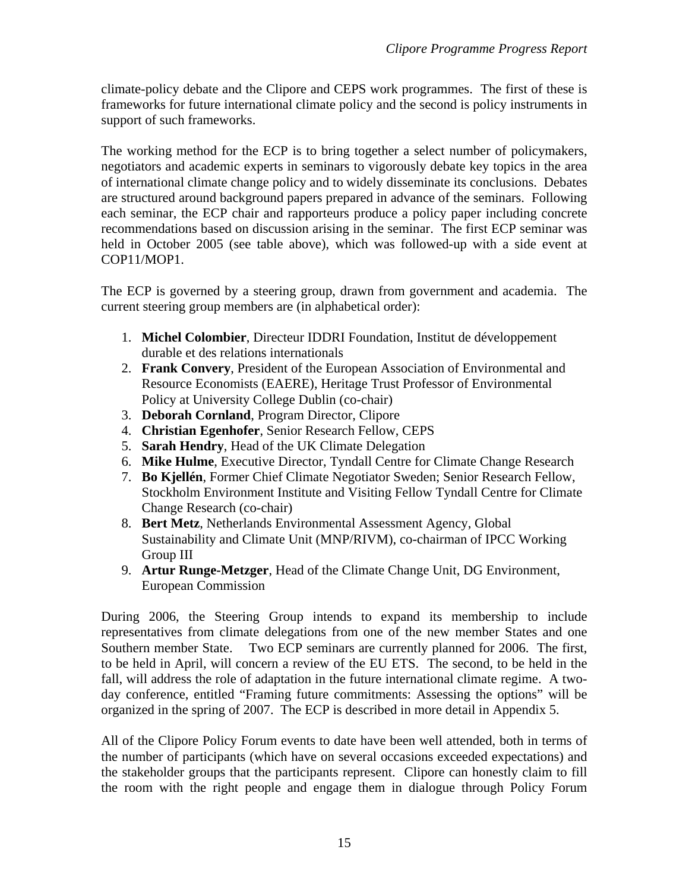climate-policy debate and the Clipore and CEPS work programmes. The first of these is frameworks for future international climate policy and the second is policy instruments in support of such frameworks.

The working method for the ECP is to bring together a select number of policymakers, negotiators and academic experts in seminars to vigorously debate key topics in the area of international climate change policy and to widely disseminate its conclusions. Debates are structured around background papers prepared in advance of the seminars. Following each seminar, the ECP chair and rapporteurs produce a policy paper including concrete recommendations based on discussion arising in the seminar. The first ECP seminar was held in October 2005 (see table above), which was followed-up with a side event at COP11/MOP1.

The ECP is governed by a steering group, drawn from government and academia. The current steering group members are (in alphabetical order):

- 1. **Michel Colombier**, Directeur IDDRI Foundation, Institut de développement durable et des relations internationals
- 2. **Frank Convery**, President of the European Association of Environmental and Resource Economists (EAERE), Heritage Trust Professor of Environmental Policy at University College Dublin (co-chair)
- 3. **Deborah Cornland**, Program Director, Clipore
- 4. **Christian Egenhofer**, Senior Research Fellow, CEPS
- 5. **Sarah Hendry**, Head of the UK Climate Delegation
- 6. **Mike Hulme**, Executive Director, Tyndall Centre for Climate Change Research
- 7. **Bo Kjellén**, Former Chief Climate Negotiator Sweden; Senior Research Fellow, Stockholm Environment Institute and Visiting Fellow Tyndall Centre for Climate Change Research (co-chair)
- 8. **Bert Metz**, Netherlands Environmental Assessment Agency, Global Sustainability and Climate Unit (MNP/RIVM), co-chairman of IPCC Working Group III
- 9. **Artur Runge-Metzger**, Head of the Climate Change Unit, DG Environment, European Commission

During 2006, the Steering Group intends to expand its membership to include representatives from climate delegations from one of the new member States and one Southern member State. Two ECP seminars are currently planned for 2006. The first, to be held in April, will concern a review of the EU ETS. The second, to be held in the fall, will address the role of adaptation in the future international climate regime. A twoday conference, entitled "Framing future commitments: Assessing the options" will be organized in the spring of 2007. The ECP is described in more detail in Appendix 5.

All of the Clipore Policy Forum events to date have been well attended, both in terms of the number of participants (which have on several occasions exceeded expectations) and the stakeholder groups that the participants represent. Clipore can honestly claim to fill the room with the right people and engage them in dialogue through Policy Forum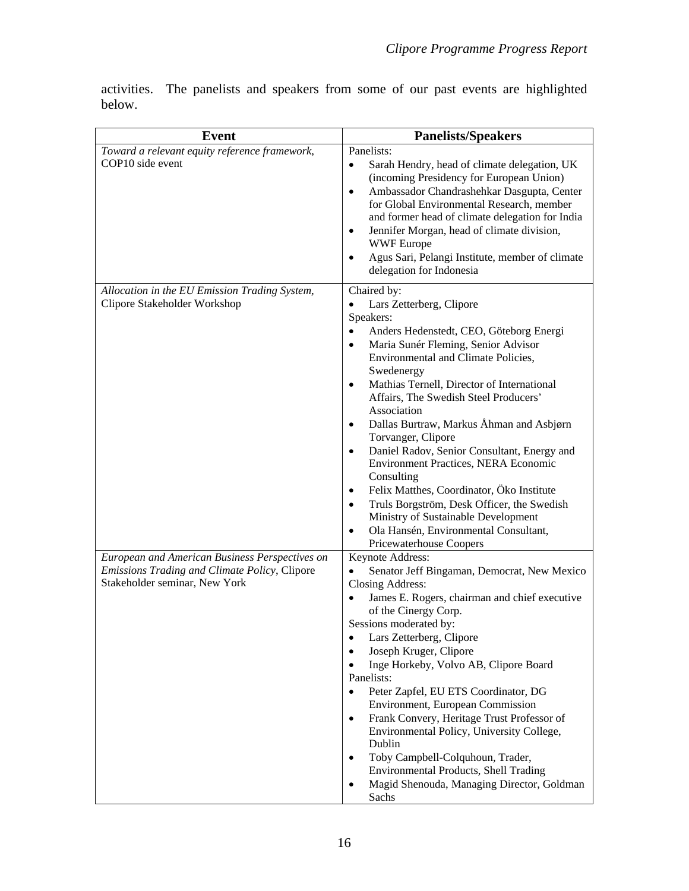activities. The panelists and speakers from some of our past events are highlighted below.

| <b>Event</b>                                                                                                                     | <b>Panelists/Speakers</b>                                                                                                                                                                                                                                                                                                                                                                                                                                                                                                                                                                                                                                                                                                                                                                   |  |
|----------------------------------------------------------------------------------------------------------------------------------|---------------------------------------------------------------------------------------------------------------------------------------------------------------------------------------------------------------------------------------------------------------------------------------------------------------------------------------------------------------------------------------------------------------------------------------------------------------------------------------------------------------------------------------------------------------------------------------------------------------------------------------------------------------------------------------------------------------------------------------------------------------------------------------------|--|
| Toward a relevant equity reference framework,<br>COP10 side event                                                                | Panelists:<br>Sarah Hendry, head of climate delegation, UK<br>$\bullet$<br>(incoming Presidency for European Union)<br>Ambassador Chandrashehkar Dasgupta, Center<br>$\bullet$<br>for Global Environmental Research, member<br>and former head of climate delegation for India<br>Jennifer Morgan, head of climate division,<br>$\bullet$<br><b>WWF</b> Europe<br>Agus Sari, Pelangi Institute, member of climate<br>$\bullet$<br>delegation for Indonesia                                                                                                                                                                                                                                                                                                                                  |  |
| Allocation in the EU Emission Trading System,<br>Clipore Stakeholder Workshop                                                    | Chaired by:<br>Lars Zetterberg, Clipore<br>$\bullet$<br>Speakers:<br>Anders Hedenstedt, CEO, Göteborg Energi<br>$\bullet$<br>Maria Sunér Fleming, Senior Advisor<br>$\bullet$<br>Environmental and Climate Policies,<br>Swedenergy<br>Mathias Ternell, Director of International<br>$\bullet$<br>Affairs, The Swedish Steel Producers'<br>Association<br>Dallas Burtraw, Markus Åhman and Asbjørn<br>٠<br>Torvanger, Clipore<br>Daniel Radov, Senior Consultant, Energy and<br>$\bullet$<br>Environment Practices, NERA Economic<br>Consulting<br>Felix Matthes, Coordinator, Öko Institute<br>$\bullet$<br>Truls Borgström, Desk Officer, the Swedish<br>$\bullet$<br>Ministry of Sustainable Development<br>Ola Hansén, Environmental Consultant,<br>$\bullet$<br>Pricewaterhouse Coopers |  |
| European and American Business Perspectives on<br>Emissions Trading and Climate Policy, Clipore<br>Stakeholder seminar, New York | Keynote Address:<br>Senator Jeff Bingaman, Democrat, New Mexico<br>$\bullet$<br>Closing Address:<br>James E. Rogers, chairman and chief executive<br>$\bullet$<br>of the Cinergy Corp.<br>Sessions moderated by:<br>Lars Zetterberg, Clipore<br>$\bullet$<br>Joseph Kruger, Clipore<br>$\bullet$<br>Inge Horkeby, Volvo AB, Clipore Board<br>$\bullet$<br>Panelists:<br>Peter Zapfel, EU ETS Coordinator, DG<br>$\bullet$<br>Environment, European Commission<br>Frank Convery, Heritage Trust Professor of<br>$\bullet$<br>Environmental Policy, University College,<br>Dublin<br>Toby Campbell-Colquhoun, Trader,<br>$\bullet$<br>Environmental Products, Shell Trading<br>Magid Shenouda, Managing Director, Goldman<br>$\bullet$<br>Sachs                                               |  |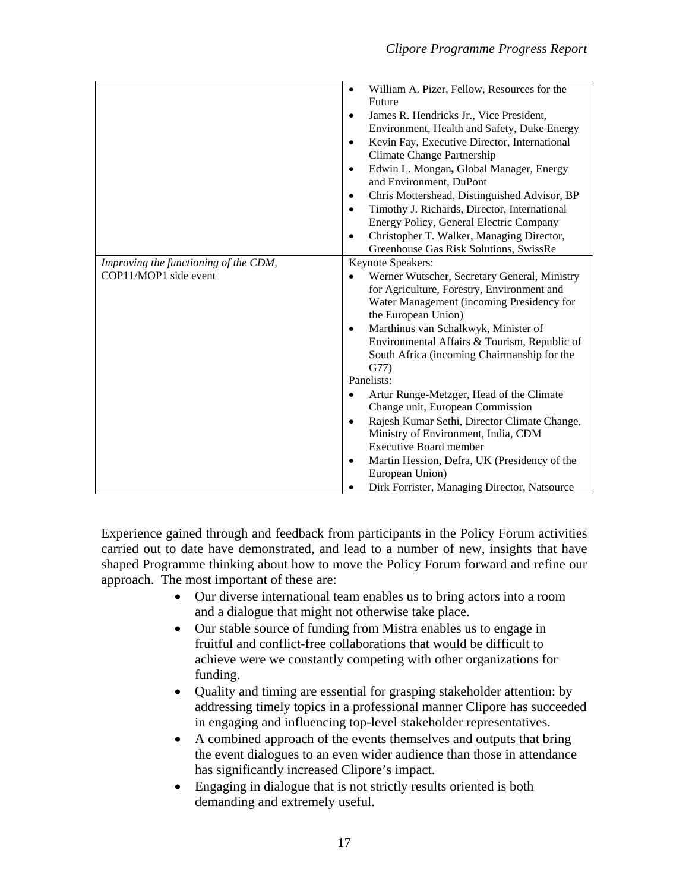|                                       | William A. Pizer, Fellow, Resources for the<br>$\bullet$  |  |
|---------------------------------------|-----------------------------------------------------------|--|
|                                       | Future                                                    |  |
|                                       | James R. Hendricks Jr., Vice President,<br>$\bullet$      |  |
|                                       | Environment, Health and Safety, Duke Energy               |  |
|                                       | Kevin Fay, Executive Director, International<br>$\bullet$ |  |
|                                       | Climate Change Partnership                                |  |
|                                       | Edwin L. Mongan, Global Manager, Energy<br>$\bullet$      |  |
|                                       | and Environment, DuPont                                   |  |
|                                       | Chris Mottershead, Distinguished Advisor, BP<br>٠         |  |
|                                       | Timothy J. Richards, Director, International              |  |
|                                       | Energy Policy, General Electric Company                   |  |
|                                       | Christopher T. Walker, Managing Director,<br>$\bullet$    |  |
|                                       | Greenhouse Gas Risk Solutions, SwissRe                    |  |
| Improving the functioning of the CDM, | Keynote Speakers:                                         |  |
| COP11/MOP1 side event                 | Werner Wutscher, Secretary General, Ministry              |  |
|                                       | for Agriculture, Forestry, Environment and                |  |
|                                       | Water Management (incoming Presidency for                 |  |
|                                       | the European Union)                                       |  |
|                                       | Marthinus van Schalkwyk, Minister of<br>$\bullet$         |  |
|                                       | Environmental Affairs & Tourism, Republic of              |  |
|                                       | South Africa (incoming Chairmanship for the               |  |
|                                       | G77)                                                      |  |
|                                       | Panelists:                                                |  |
|                                       | Artur Runge-Metzger, Head of the Climate<br>٠             |  |
|                                       | Change unit, European Commission                          |  |
|                                       | Rajesh Kumar Sethi, Director Climate Change,              |  |
|                                       | Ministry of Environment, India, CDM                       |  |
|                                       | <b>Executive Board member</b>                             |  |
|                                       | Martin Hession, Defra, UK (Presidency of the<br>$\bullet$ |  |
|                                       | European Union)                                           |  |
|                                       | Dirk Forrister, Managing Director, Natsource              |  |

Experience gained through and feedback from participants in the Policy Forum activities carried out to date have demonstrated, and lead to a number of new, insights that have shaped Programme thinking about how to move the Policy Forum forward and refine our approach. The most important of these are:

- Our diverse international team enables us to bring actors into a room and a dialogue that might not otherwise take place.
- Our stable source of funding from Mistra enables us to engage in fruitful and conflict-free collaborations that would be difficult to achieve were we constantly competing with other organizations for funding.
- Quality and timing are essential for grasping stakeholder attention: by addressing timely topics in a professional manner Clipore has succeeded in engaging and influencing top-level stakeholder representatives.
- A combined approach of the events themselves and outputs that bring the event dialogues to an even wider audience than those in attendance has significantly increased Clipore's impact.
- Engaging in dialogue that is not strictly results oriented is both demanding and extremely useful.